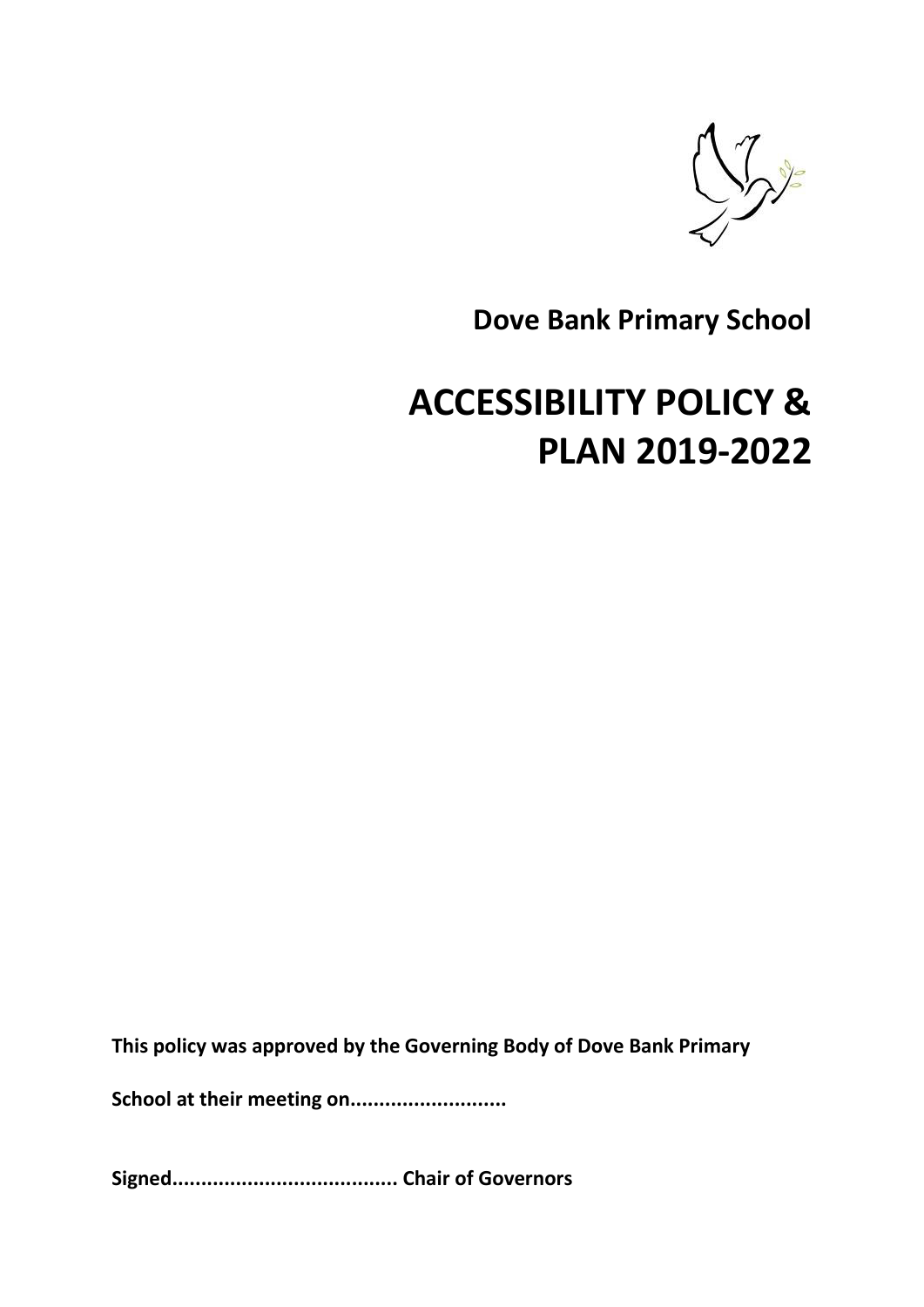

**Dove Bank Primary School** 

# **ACCESSIBILITY POLICY & PLAN 2019-2022**

**This policy was approved by the Governing Body of Dove Bank Primary** 

**School at their meeting on...........................** 

**Signed....................................... Chair of Governors**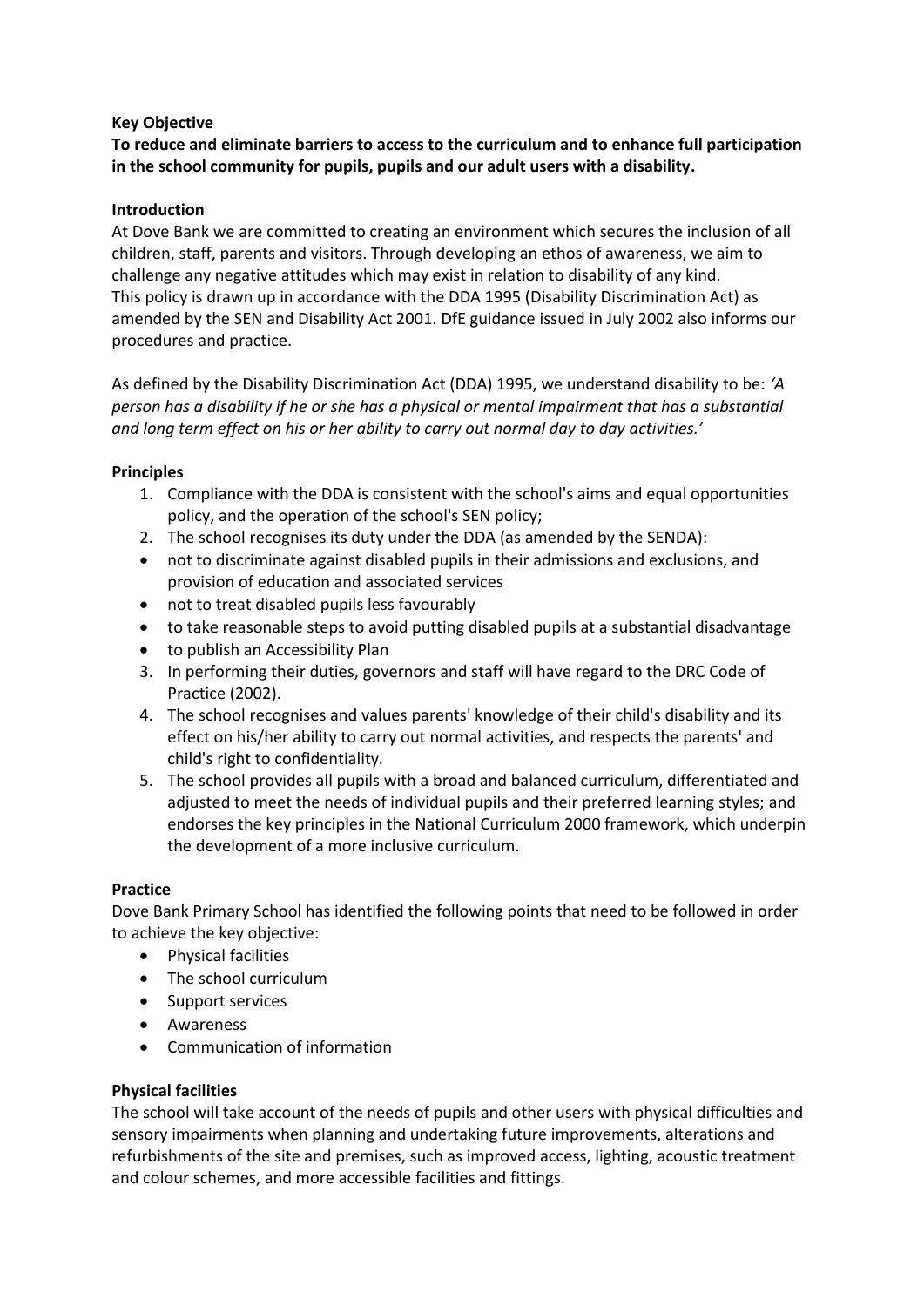# **Key Objective**

# **To reduce and eliminate barriers to access to the curriculum and to enhance full participation in the school community for pupils, pupils and our adult users with a disability.**

# **Introduction**

At Dove Bank we are committed to creating an environment which secures the inclusion of all children, staff, parents and visitors. Through developing an ethos of awareness, we aim to challenge any negative attitudes which may exist in relation to disability of any kind. This policy is drawn up in accordance with the DDA 1995 (Disability Discrimination Act) as amended by the SEN and Disability Act 2001. DfE guidance issued in July 2002 also informs our procedures and practice.

As defined by the Disability Discrimination Act (DDA) 1995, we understand disability to be: *'A person has a disability if he or she has a physical or mental impairment that has a substantial and long term effect on his or her ability to carry out normal day to day activities.'* 

# **Principles**

- 1. Compliance with the DDA is consistent with the school's aims and equal opportunities policy, and the operation of the school's SEN policy;
- 2. The school recognises its duty under the DDA (as amended by the SENDA):
- not to discriminate against disabled pupils in their admissions and exclusions, and provision of education and associated services
- not to treat disabled pupils less favourably
- to take reasonable steps to avoid putting disabled pupils at a substantial disadvantage
- to publish an Accessibility Plan
- 3. In performing their duties, governors and staff will have regard to the DRC Code of Practice (2002).
- 4. The school recognises and values parents' knowledge of their child's disability and its effect on his/her ability to carry out normal activities, and respects the parents' and child's right to confidentiality.
- 5. The school provides all pupils with a broad and balanced curriculum, differentiated and adjusted to meet the needs of individual pupils and their preferred learning styles; and endorses the key principles in the National Curriculum 2000 framework, which underpin the development of a more inclusive curriculum.

# **Practice**

Dove Bank Primary School has identified the following points that need to be followed in order to achieve the key objective:

- Physical facilities
- The school curriculum
- Support services
- Awareness
- Communication of information

# **Physical facilities**

The school will take account of the needs of pupils and other users with physical difficulties and sensory impairments when planning and undertaking future improvements, alterations and refurbishments of the site and premises, such as improved access, lighting, acoustic treatment and colour schemes, and more accessible facilities and fittings.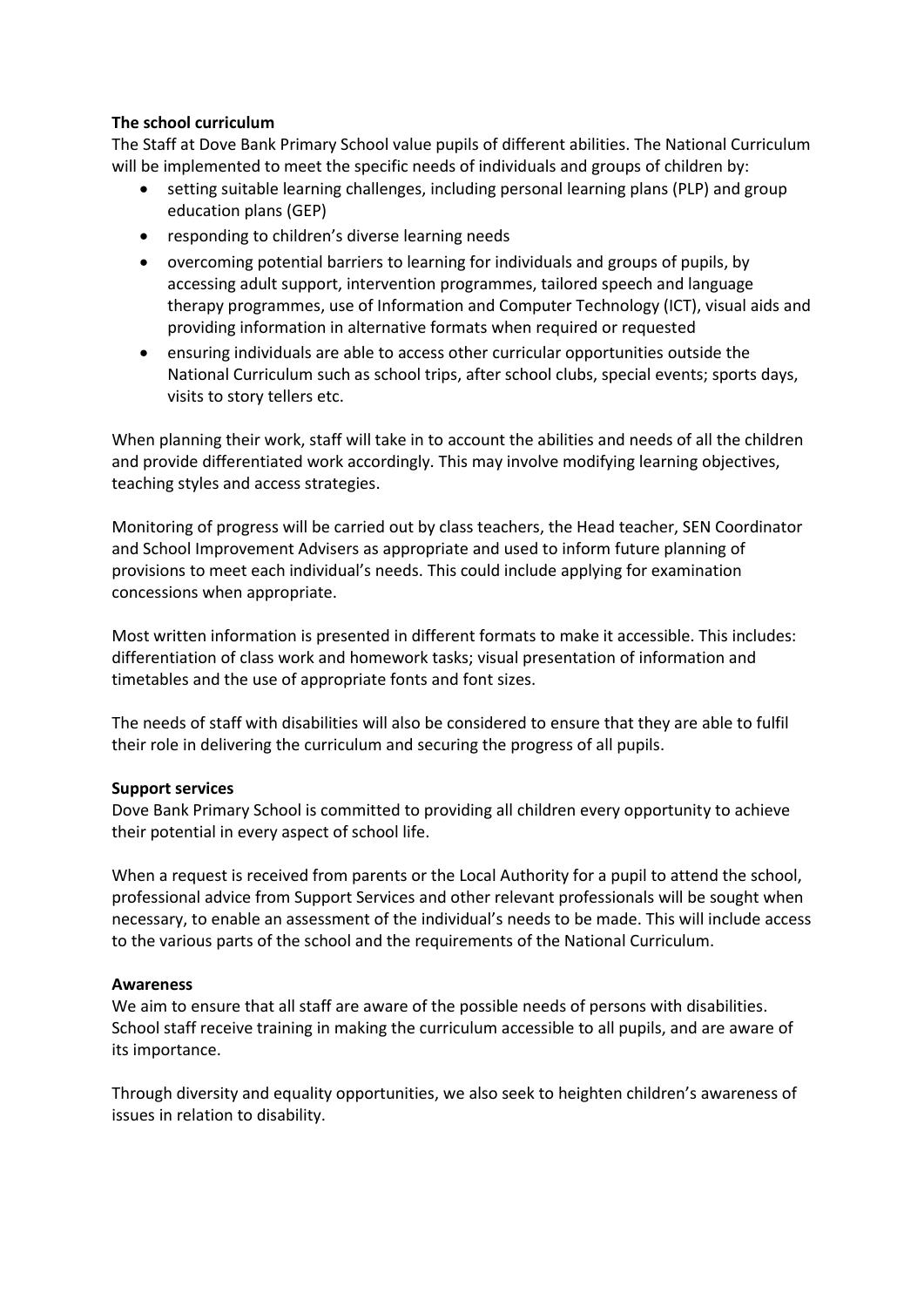#### **The school curriculum**

The Staff at Dove Bank Primary School value pupils of different abilities. The National Curriculum will be implemented to meet the specific needs of individuals and groups of children by:

- setting suitable learning challenges, including personal learning plans (PLP) and group education plans (GEP)
- responding to children's diverse learning needs
- overcoming potential barriers to learning for individuals and groups of pupils, by accessing adult support, intervention programmes, tailored speech and language therapy programmes, use of Information and Computer Technology (ICT), visual aids and providing information in alternative formats when required or requested
- ensuring individuals are able to access other curricular opportunities outside the National Curriculum such as school trips, after school clubs, special events; sports days, visits to story tellers etc.

When planning their work, staff will take in to account the abilities and needs of all the children and provide differentiated work accordingly. This may involve modifying learning objectives, teaching styles and access strategies.

Monitoring of progress will be carried out by class teachers, the Head teacher, SEN Coordinator and School Improvement Advisers as appropriate and used to inform future planning of provisions to meet each individual's needs. This could include applying for examination concessions when appropriate.

Most written information is presented in different formats to make it accessible. This includes: differentiation of class work and homework tasks; visual presentation of information and timetables and the use of appropriate fonts and font sizes.

The needs of staff with disabilities will also be considered to ensure that they are able to fulfil their role in delivering the curriculum and securing the progress of all pupils.

## **Support services**

Dove Bank Primary School is committed to providing all children every opportunity to achieve their potential in every aspect of school life.

When a request is received from parents or the Local Authority for a pupil to attend the school, professional advice from Support Services and other relevant professionals will be sought when necessary, to enable an assessment of the individual's needs to be made. This will include access to the various parts of the school and the requirements of the National Curriculum.

#### **Awareness**

We aim to ensure that all staff are aware of the possible needs of persons with disabilities. School staff receive training in making the curriculum accessible to all pupils, and are aware of its importance.

Through diversity and equality opportunities, we also seek to heighten children's awareness of issues in relation to disability.